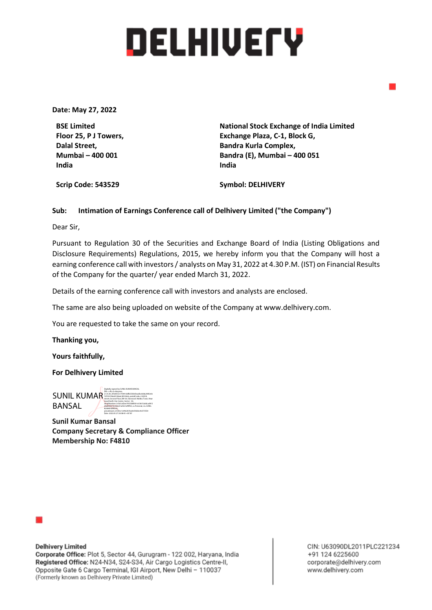# **DELHIVETY**

**Date: May 27, 2022**

**BSE Limited Floor 25, P J Towers, Dalal Street, Mumbai – 400 001 India**

**National Stock Exchange of India Limited Exchange Plaza, C-1, Block G, Bandra Kurla Complex, Bandra (E), Mumbai – 400 051 India** 

**Scrip Code: 543529**

**Symbol: DELHIVERY**

## **Sub: Intimation of Earnings Conference call of Delhivery Limited ("the Company")**

Dear Sir,

Pursuant to Regulation 30 of the Securities and Exchange Board of India (Listing Obligations and Disclosure Requirements) Regulations, 2015, we hereby inform you that the Company will host a earning conference call with investors / analysts on May 31, 2022 at 4.30 P.M. (IST) on Financial Results of the Company for the quarter/ year ended March 31, 2022.

Details of the earning conference call with investors and analysts are enclosed.

The same are also being uploaded on website of the Company at www.delhivery.com.

You are requested to take the same on your record.

**Thanking you,**

**Yours faithfully,**

**For Delhivery Limited**

SUNIL KUMAR BANSAL Digitally signed by SUNIL KUMAR BANSAL DN: c=IN, st=Haryana, 2.5.4.20=3f3d355e170441ddfb5583d3eadbc668a2485e0e 7d7233766c8100a6c38104eb, postalCode=122018, street=Second Floor,SW-50, Starwood. Malibu Town, Near Good Earth City Center, Sector - 50, serialNumber=e1b5caf2ee74555885fe1e33615a0dcad915 d4d344573ce0eb31a0521af9ff23, o=Personal, cn=SUNIL KUMAR BANSAL, pseudonym=61d3cc1a94a361ba0e592dec4e373550 Date: 2022.05.27 20:08:43 +05'30'

**Sunil Kumar Bansal Company Secretary & Compliance Officer Membership No: F4810**



**Delhivery Limited** Corporate Office: Plot 5, Sector 44, Gurugram - 122 002, Haryana, India Registered Office: N24-N34, S24-S34, Air Cargo Logistics Centre-II, Opposite Gate 6 Cargo Terminal, IGI Airport, New Delhi - 110037 (Formerly known as Delhivery Private Limited)

CIN: U63090DL2011PLC221234 +91 124 6225600 corporate@delhivery.com www.delhivery.com